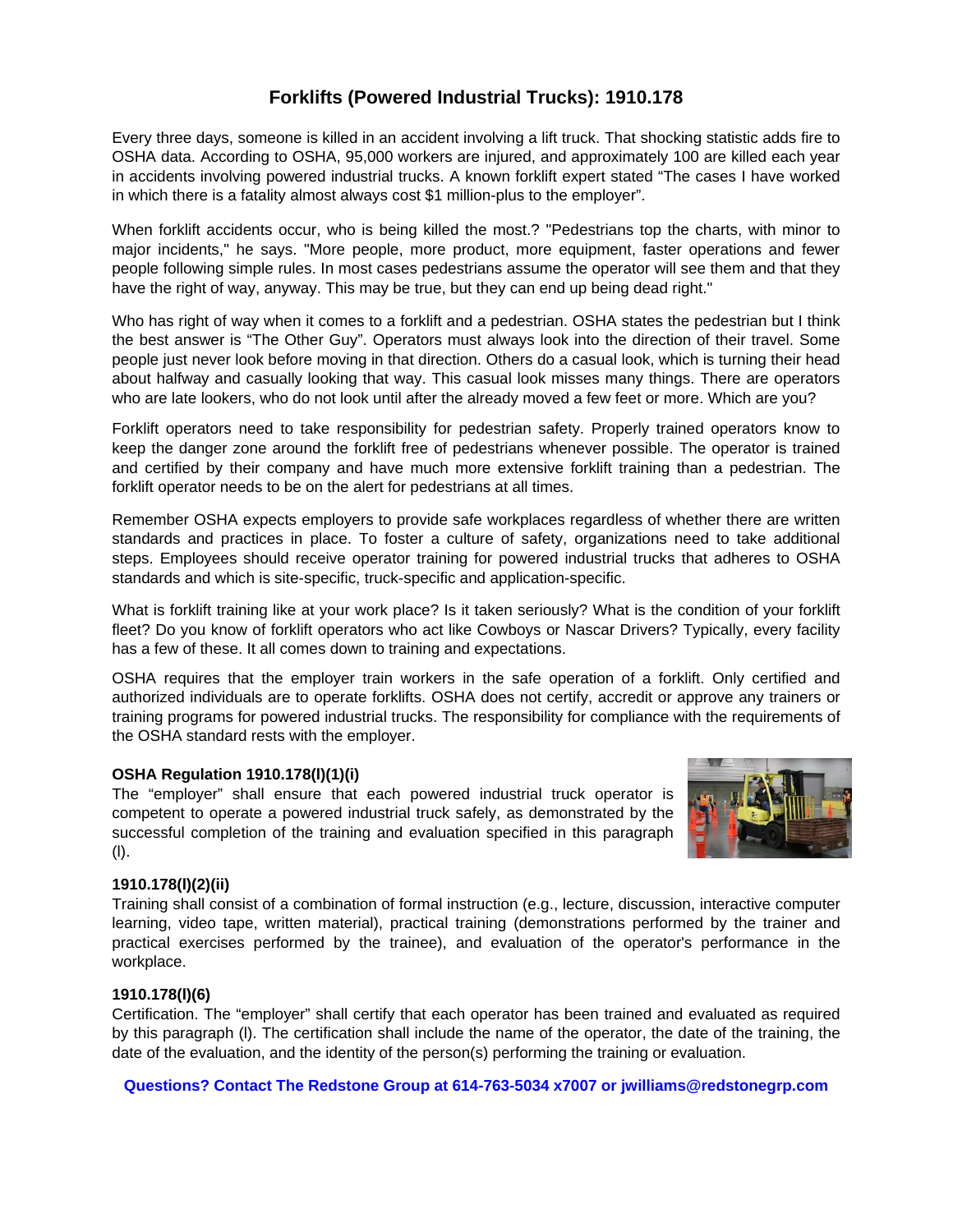## **Forklifts (Powered Industrial Trucks): 1910.178**

Every three days, someone is killed in an accident involving a lift truck. That shocking statistic adds fire to OSHA data. According to OSHA, 95,000 workers are injured, and approximately 100 are killed each year in accidents involving powered industrial trucks. A known forklift expert stated "The cases I have worked in which there is a fatality almost always cost \$1 million-plus to the employer".

When forklift accidents occur, who is being killed the most.? "Pedestrians top the charts, with minor to major incidents," he says. "More people, more product, more equipment, faster operations and fewer people following simple rules. In most cases pedestrians assume the operator will see them and that they have the right of way, anyway. This may be true, but they can end up being dead right."

Who has right of way when it comes to a forklift and a pedestrian. OSHA states the pedestrian but I think the best answer is "The Other Guy". Operators must always look into the direction of their travel. Some people just never look before moving in that direction. Others do a casual look, which is turning their head about halfway and casually looking that way. This casual look misses many things. There are operators who are late lookers, who do not look until after the already moved a few feet or more. Which are you?

Forklift operators need to take responsibility for pedestrian safety. Properly trained operators know to keep the danger zone around the forklift free of pedestrians whenever possible. The operator is trained and certified by their company and have much more extensive forklift training than a pedestrian. The forklift operator needs to be on the alert for pedestrians at all times.

Remember OSHA expects employers to provide safe workplaces regardless of whether there are written standards and practices in place. To foster a culture of safety, organizations need to take additional steps. Employees should receive operator training for powered industrial trucks that adheres to OSHA standards and which is site-specific, truck-specific and application-specific.

What is forklift training like at your work place? Is it taken seriously? What is the condition of your forklift fleet? Do you know of forklift operators who act like Cowboys or Nascar Drivers? Typically, every facility has a few of these. It all comes down to training and expectations.

OSHA requires that the employer train workers in the safe operation of a forklift. Only certified and authorized individuals are to operate forklifts. OSHA does not certify, accredit or approve any trainers or training programs for powered industrial trucks. The responsibility for compliance with the requirements of the OSHA standard rests with the employer.

## **OSHA Regulation 1910.178(l)(1)(i)**

The "employer" shall ensure that each powered industrial truck operator is competent to operate a powered industrial truck safely, as demonstrated by the successful completion of the training and evaluation specified in this paragraph (l).



## **1910.178(l)(2)(ii)**

Training shall consist of a combination of formal instruction (e.g., lecture, discussion, interactive computer learning, video tape, written material), practical training (demonstrations performed by the trainer and practical exercises performed by the trainee), and evaluation of the operator's performance in the workplace.

## **1910.178(l)(6)**

Certification. The "employer" shall certify that each operator has been trained and evaluated as required by this paragraph (l). The certification shall include the name of the operator, the date of the training, the date of the evaluation, and the identity of the person(s) performing the training or evaluation.

**Questions? Contact The Redstone Group at 614-763-5034 x7007 or jwilliams@redstonegrp.com**